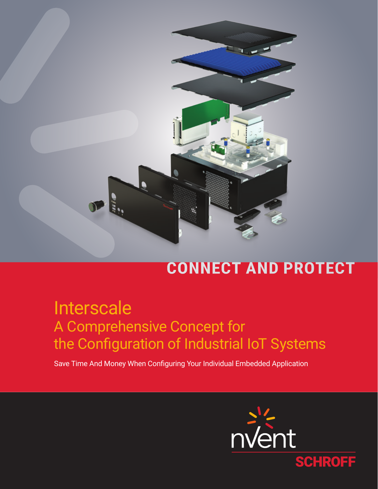

# **CONNECT AND PROTECT**

# Interscale A Comprehensive Concept for the Configuration of Industrial IoT Systems

Save Time And Money When Configuring Your Individual Embedded Application

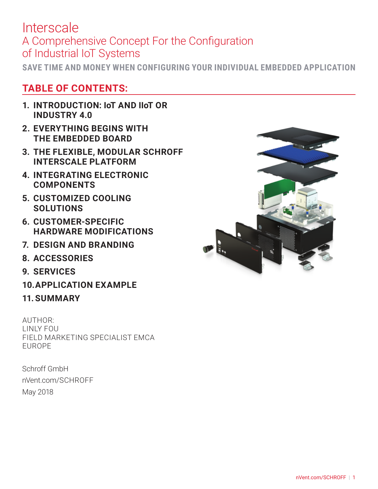**SAVE TIME AND MONEY WHEN CONFIGURING YOUR INDIVIDUAL EMBEDDED APPLICATION**

### **TABLE OF CONTENTS:**

- **1. INTRODUCTION: IoT AND IIoT OR INDUSTRY 4.0**
- **2. EVERYTHING BEGINS WITH THE EMBEDDED BOARD**
- **3. THE FLEXIBLE, MODULAR SCHROFF INTERSCALE PLATFORM**
- **4. INTEGRATING ELECTRONIC COMPONENTS**
- **5. CUSTOMIZED COOLING SOLUTIONS**
- **6. CUSTOMER-SPECIFIC HARDWARE MODIFICATIONS**
- **7. DESIGN AND BRANDING**
- **8. ACCESSORIES**
- **9. SERVICES**
- **10.APPLICATION EXAMPLE**
- **11. SUMMARY**

AUTHOR: LINLY FOU FIELD MARKETING SPECIALIST EMCA EUROPE

Schroff GmbH nVent.com/SCHROFF May 2018

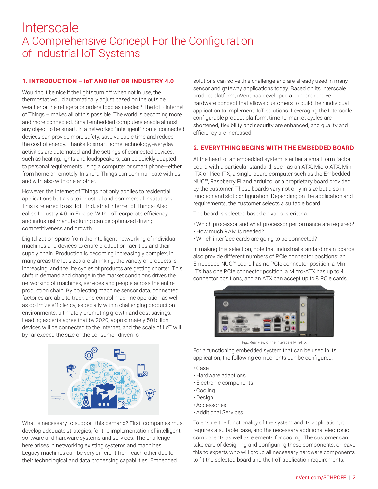#### **1. INTRODUCTION – IoT AND IIoT OR INDUSTRY 4.0**

Wouldn't it be nice if the lights turn off when not in use, the thermostat would automatically adjust based on the outside weather or the refrigerator orders food as needed? The IoT - Internet of Things – makes all of this possible. The world is becoming more and more connected. Small embedded computers enable almost any object to be smart. In a networked "intelligent" home, connected devices can provide more safety, save valuable time and reduce the cost of energy. Thanks to smart home technology, everyday activities are automated, and the settings of connected devices, such as heating, lights and loudspeakers, can be quickly adapted to personal requirements using a computer or smart phone—either from home or remotely. In short: Things can communicate with us and with also with one another.

However, the Internet of Things not only applies to residential applications but also to industrial and commercial institutions. This is referred to as IIoT—Industrial Internet of Things- Also called Industry 4.0. in Europe. With IIoT, corporate efficiency and industrial manufacturing can be optimized driving competitiveness and growth.

Digitalization spans from the intelligent networking of individual machines and devices to entire production facilities and their supply chain. Production is becoming increasingly complex, in many areas the lot sizes are shrinking, the variety of products is increasing, and the life cycles of products are getting shorter. This shift in demand and change in the market conditions drives the networking of machines, services and people across the entire production chain. By collecting machine sensor data, connected factories are able to track and control machine operation as well as optimize efficiency, especially within challenging production environments, ultimately promoting growth and cost savings. Leading experts agree that by 2020, approximately 50 billion devices will be connected to the Internet, and the scale of IIoT will by far exceed the size of the consumer-driven IoT.



What is necessary to support this demand? First, companies must develop adequate strategies, for the implementation of intelligent software and hardware systems and services. The challenge here arises in networking existing systems and machines: Legacy machines can be very different from each other due to their technological and data processing capabilities. Embedded

solutions can solve this challenge and are already used in many sensor and gateway applications today. Based on its Interscale product platform, nVent has developed a comprehensive hardware concept that allows customers to build their individual application to implement IIoT solutions. Leveraging the Interscale configurable product platform, time-to-market cycles are shortened, flexibility and security are enhanced, and quality and efficiency are increased.

#### **2. EVERYTHING BEGINS WITH THE EMBEDDED BOARD**

At the heart of an embedded system is either a small form factor board with a particular standard, such as an ATX, Micro ATX, Mini ITX or Pico ITX, a single-board computer such as the Embedded NUC™, Raspberry Pi and Arduino, or a proprietary board provided by the customer. These boards vary not only in size but also in function and slot configuration. Depending on the application and requirements, the customer selects a suitable board.

The board is selected based on various criteria:

- Which processor and what processor performance are required?
- How much RAM is needed?
- Which interface cards are going to be connected?

In making this selection, note that industrial standard main boards also provide different numbers of PCIe connector positions: an Embedded NUC™ board has no PCIe connector position, a Mini-ITX has one PCIe connector position, a Micro-ATX has up to 4 connector positions, and an ATX can accept up to 8 PCIe cards.



Fig.: Rear view of the Interscale Mini-ITX

For a functioning embedded system that can be used in its application, the following components can be configured:

- Case
- Hardware adaptions
- Electronic components
- Cooling
- Design
- Accessories
- Additional Services

To ensure the functionality of the system and its application, it requires a suitable case, and the necessary additional electronic components as well as elements for cooling. The customer can take care of designing and configuring these components, or leave this to experts who will group all necessary hardware components to fit the selected board and the IIoT application requirements.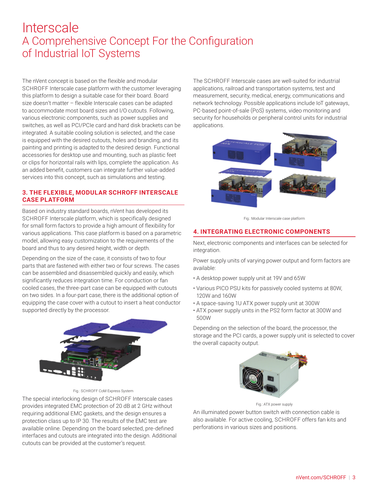The nVent concept is based on the flexible and modular SCHROFF Interscale case platform with the customer leveraging this platform to design a suitable case for their board. Board size doesn't matter – flexible Interscale cases can be adapted to accommodate most board sizes and I/O cutouts. Following, various electronic components, such as power supplies and switches, as well as PCI/PCIe card and hard disk brackets can be integrated. A suitable cooling solution is selected, and the case is equipped with the desired cutouts, holes and branding, and its painting and printing is adapted to the desired design. Functional accessories for desktop use and mounting, such as plastic feet or clips for horizontal rails with lips, complete the application. As an added benefit, customers can integrate further value-added services into this concept, such as simulations and testing.

#### **3. THE FLEXIBLE, MODULAR SCHROFF INTERSCALE CASE PLATFORM**

Based on industry standard boards, nVent has developed its SCHROFF Interscale platform, which is specifically designed for small form factors to provide a high amount of flexibility for various applications. This case platform is based on a parametric model, allowing easy customization to the requirements of the board and thus to any desired height, width or depth.

Depending on the size of the case, it consists of two to four parts that are fastened with either two or four screws. The cases can be assembled and disassembled quickly and easily, which significantly reduces integration time. For conduction or fan cooled cases, the three-part case can be equipped with cutouts on two sides. In a four-part case, there is the additional option of equipping the case cover with a cutout to insert a heat conductor supported directly by the processor.



Fig.: SCHROFF CoM Express System

The special interlocking design of SCHROFF Interscale cases provides integrated EMC protection of 20 dB at 2 GHz without requiring additional EMC gaskets, and the design ensures a protection class up to IP 30. The results of the EMC test are available online. Depending on the board selected, pre-defined interfaces and cutouts are integrated into the design. Additional cutouts can be provided at the customer's request.

The SCHROFF Interscale cases are well-suited for industrial applications, railroad and transportation systems, test and measurement, security, medical, energy, communications and network technology. Possible applications include IoT gateways, PC-based point-of-sale (PoS) systems, video monitoring and security for households or peripheral control units for industrial applications.





#### **4. INTEGRATING ELECTRONIC COMPONENTS**

Next, electronic components and interfaces can be selected for integration.

Power supply units of varying power output and form factors are available:

- A desktop power supply unit at 19V and 65W
- Various PICO PSU kits for passively cooled systems at 80W, 120W and 160W
- A space-saving 1U ATX power supply unit at 300W
- ATX power supply units in the PS2 form factor at 300W and 500W

Depending on the selection of the board, the processor, the storage and the PCI cards, a power supply unit is selected to cover the overall capacity output.



Fig.: ATX power supply

An illuminated power button switch with connection cable is also available. For active cooling, SCHROFF offers fan kits and perforations in various sizes and positions.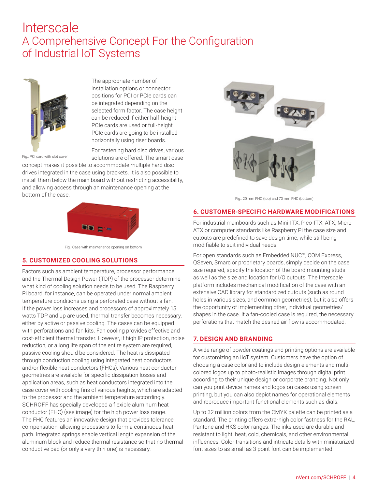

Fig.: PCI card with slot cover

The appropriate number of installation options or connector positions for PCI or PCIe cards can be integrated depending on the selected form factor. The case height can be reduced if either half-height PCIe cards are used or full-height PCIe cards are going to be installed horizontally using riser boards.

For fastening hard disc drives, various solutions are offered. The smart case

concept makes it possible to accommodate multiple hard disc drives integrated in the case using brackets. It is also possible to install them below the main board without restricting accessibility, and allowing access through an maintenance opening at the bottom of the case.



Fig.: Case with maintenance opening on bottom

#### **5. CUSTOMIZED COOLING SOLUTIONS**

Factors such as ambient temperature, processor performance and the Thermal Design Power (TDP) of the processor determine what kind of cooling solution needs to be used. The Raspberry Pi board, for instance, can be operated under normal ambient temperature conditions using a perforated case without a fan. If the power loss increases and processors of approximately 15 watts TDP and up are used, thermal transfer becomes necessary, either by active or passive cooling. The cases can be equipped with perforations and fan kits. Fan cooling provides effective and cost-efficient thermal transfer. However, if high IP protection, noise reduction, or a long life span of the entire system are required, passive cooling should be considered. The heat is dissipated through conduction cooling using integrated heat conductors and/or flexible heat conductors (FHCs). Various heat conductor geometries are available for specific dissipation losses and application areas, such as heat conductors integrated into the case cover with cooling fins of various heights, which are adapted to the processor and the ambient temperature accordingly. SCHROFF has specially developed a flexible aluminum heat conductor (FHC) (see image) for the high power loss range. The FHC features an innovative design that provides tolerance compensation, allowing processors to form a continuous heat path. Integrated springs enable vertical length expansion of the aluminum block and reduce thermal resistance so that no thermal conductive pad (or only a very thin one) is necessary.



Fig.: 20 mm FHC (top) and 70 mm FHC (bottom)

#### **6. CUSTOMER-SPECIFIC HARDWARE MODIFICATIONS**

For industrial mainboards such as Mini-ITX, Pico-ITX, ATX, Micro ATX or computer standards like Raspberry Pi the case size and cutouts are predefined to save design time, while still being modifiable to suit individual needs.

For open standards such as Embedded NUC™, COM Express, QSeven, Smarc or proprietary boards, simply decide on the case size required, specify the location of the board mounting studs as well as the size and location for I/O cutouts. The Interscale platform includes mechanical modification of the case with an extensive CAD library for standardized cutouts (such as round holes in various sizes, and common geometries), but it also offers the opportunity of implementing other, individual geometries/ shapes in the case. If a fan-cooled case is required, the necessary perforations that match the desired air flow is accommodated.

#### **7. DESIGN AND BRANDING**

A wide range of powder coatings and printing options are available for customizing an IIoT system. Customers have the option of choosing a case color and to include design elements and multicolored logos up to photo-realistic images through digital print according to their unique design or corporate branding. Not only can you print device names and logos on cases using screen printing, but you can also depict names for operational elements and reproduce important functional elements such as dials.

Up to 32 million colors from the CMYK palette can be printed as a standard. The printing offers extra-high color fastness for the RAL, Pantone and HKS color ranges. The inks used are durable and resistant to light, heat, cold, chemicals, and other environmental influences. Color transitions and intricate details with miniaturized font sizes to as small as 3 point font can be implemented.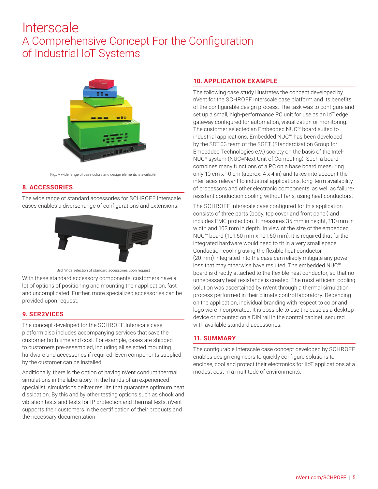

Fig.: A wide range of case colors and design elements is available.

#### **8. ACCESSORIES**

The wide range of standard accessories for SCHROFF Interscale cases enables a diverse range of configurations and extensions.





With these standard accessory components, customers have a lot of options of positioning and mounting their application, fast and uncomplicated. Further, more specialized accessories can be provided upon request.

#### **9. SER2VICES**

The concept developed for the SCHROFF Interscale case platform also includes accompanying services that save the customer both time and cost. For example, cases are shipped to customers pre-assembled, including all selected mounting hardware and accessories if required. Even components supplied by the customer can be installed.

Additionally, there is the option of having nVent conduct thermal simulations in the laboratory. In the hands of an experienced specialist, simulations deliver results that guarantee optimum heat dissipation. By this and by other testing options such as shock and vibration tests and tests for IP protection and thermal tests, nVent supports their customers in the certification of their products and the necessary documentation.

#### **10. APPLICATION EXAMPLE**

The following case study illustrates the concept developed by nVent for the SCHROFF Interscale case platform and its benefits of the configurable design process. The task was to configure and set up a small, high-performance PC unit for use as an IoT edge gateway configured for automation, visualization or monitoring. The customer selected an Embedded NUC™ board suited to industrial applications. Embedded NUC™ has been developed by the SDT.03 team of the SGET (Standardization Group for Embedded Technologies e.V.) society on the basis of the Intel-NUC® system (NUC=Next Unit of Computing). Such a board combines many functions of a PC on a base board measuring only 10 cm x 10 cm (approx. 4 x 4 in) and takes into account the interfaces relevant to industrial applications, long-term availability of processors and other electronic components, as well as failureresistant conduction cooling without fans, using heat conductors.

The SCHROFF Interscale case configured for this application consists of three parts (body, top cover and front panel) and includes EMC protection. It measures 35 mm in height, 110 mm in width and 103 mm in depth. In view of the size of the embedded NUC™ board (101.60 mm x 101.60 mm), it is required that further integrated hardware would need to fit in a very small space. Conduction cooling using the flexible heat conductor (20 mm) integrated into the case can reliably mitigate any power loss that may otherwise have resulted. The embedded NUC™ board is directly attached to the flexible heat conductor, so that no unnecessary heat resistance is created. The most efficient cooling solution was ascertained by nVent through a thermal simulation process performed in their climate control laboratory. Depending on the application, individual branding with respect to color and logo were incorporated. It is possible to use the case as a desktop device or mounted on a DIN rail in the control cabinet, secured with available standard accessories.

#### **11. SUMMARY**

The configurable Interscale case concept developed by SCHROFF enables design engineers to quickly configure solutions to enclose, cool and protect their electronics for IIoT applications at a modest cost in a multitude of environments.